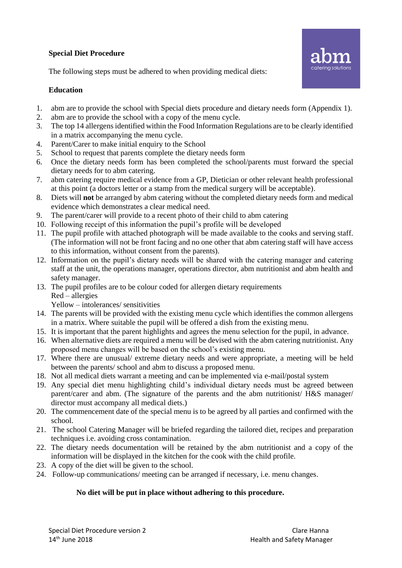## **Special Diet Procedure**

The following steps must be adhered to when providing medical diets:

## **Education**

- 1. abm are to provide the school with Special diets procedure and dietary needs form (Appendix 1).
- 2. abm are to provide the school with a copy of the menu cycle.
- 3. The top 14 allergens identified within the Food Information Regulations are to be clearly identified in a matrix accompanying the menu cycle.
- 4. Parent/Carer to make initial enquiry to the School
- 5. School to request that parents complete the dietary needs form
- 6. Once the dietary needs form has been completed the school/parents must forward the special dietary needs for to abm catering.
- 7. abm catering require medical evidence from a GP, Dietician or other relevant health professional at this point (a doctors letter or a stamp from the medical surgery will be acceptable).
- 8. Diets will **not** be arranged by abm catering without the completed dietary needs form and medical evidence which demonstrates a clear medical need.
- 9. The parent/carer will provide to a recent photo of their child to abm catering
- 10. Following receipt of this information the pupil's profile will be developed
- 11. The pupil profile with attached photograph will be made available to the cooks and serving staff. (The information will not be front facing and no one other that abm catering staff will have access to this information, without consent from the parents).
- 12. Information on the pupil's dietary needs will be shared with the catering manager and catering staff at the unit, the operations manager, operations director, abm nutritionist and abm health and safety manager.
- 13. The pupil profiles are to be colour coded for allergen dietary requirements Red – allergies

Yellow – intolerances/ sensitivities

- 14. The parents will be provided with the existing menu cycle which identifies the common allergens in a matrix. Where suitable the pupil will be offered a dish from the existing menu.
- 15. It is important that the parent highlights and agrees the menu selection for the pupil, in advance.
- 16. When alternative diets are required a menu will be devised with the abm catering nutritionist. Any proposed menu changes will be based on the school's existing menu.
- 17. Where there are unusual/ extreme dietary needs and were appropriate, a meeting will be held between the parents/ school and abm to discuss a proposed menu.
- 18. Not all medical diets warrant a meeting and can be implemented via e-mail/postal system
- 19. Any special diet menu highlighting child's individual dietary needs must be agreed between parent/carer and abm. (The signature of the parents and the abm nutritionist/ H&S manager/ director must accompany all medical diets.)
- 20. The commencement date of the special menu is to be agreed by all parties and confirmed with the school.
- 21. The school Catering Manager will be briefed regarding the tailored diet, recipes and preparation techniques i.e. avoiding cross contamination.
- 22. The dietary needs documentation will be retained by the abm nutritionist and a copy of the information will be displayed in the kitchen for the cook with the child profile.
- 23. A copy of the diet will be given to the school.
- 24. Follow-up communications/ meeting can be arranged if necessary, i.e. menu changes.

## **No diet will be put in place without adhering to this procedure.**